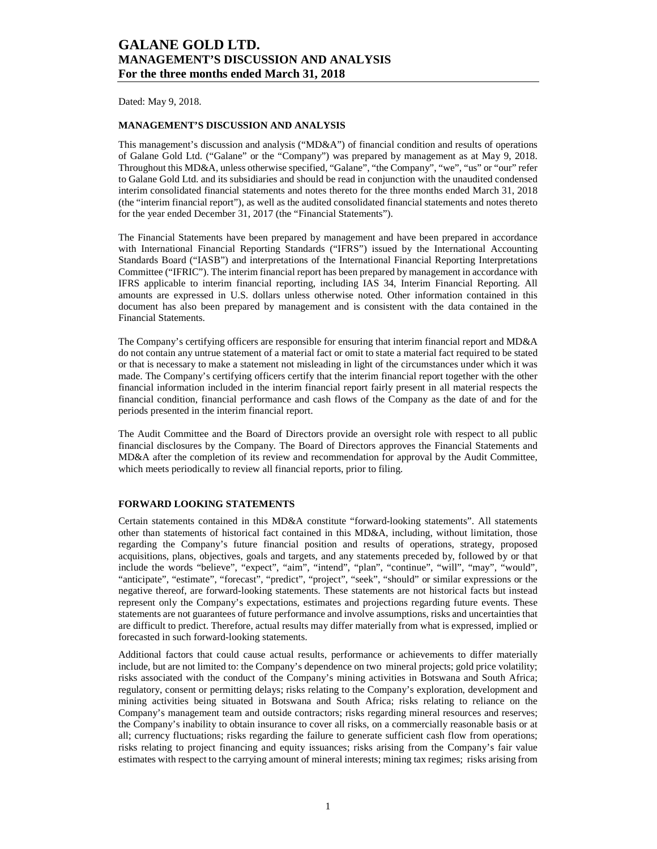Dated: May 9, 2018.

### **MANAGEMENT'S DISCUSSION AND ANALYSIS**

This management's discussion and analysis ("MD&A") of financial condition and results of operations of Galane Gold Ltd. ("Galane" or the "Company") was prepared by management as at May 9, 2018. Throughout this MD&A, unless otherwise specified, "Galane", "the Company", "we", "us" or "our" refer to Galane Gold Ltd. and its subsidiaries and should be read in conjunction with the unaudited condensed interim consolidated financial statements and notes thereto for the three months ended March 31, 2018 (the "interim financial report"), as well as the audited consolidated financial statements and notes thereto for the year ended December 31, 2017 (the "Financial Statements").

The Financial Statements have been prepared by management and have been prepared in accordance with International Financial Reporting Standards ("IFRS") issued by the International Accounting Standards Board ("IASB") and interpretations of the International Financial Reporting Interpretations Committee ("IFRIC"). The interim financial report has been prepared by management in accordance with IFRS applicable to interim financial reporting, including IAS 34, Interim Financial Reporting. All amounts are expressed in U.S. dollars unless otherwise noted. Other information contained in this document has also been prepared by management and is consistent with the data contained in the Financial Statements.

The Company's certifying officers are responsible for ensuring that interim financial report and MD&A do not contain any untrue statement of a material fact or omit to state a material fact required to be stated or that is necessary to make a statement not misleading in light of the circumstances under which it was made. The Company's certifying officers certify that the interim financial report together with the other financial information included in the interim financial report fairly present in all material respects the financial condition, financial performance and cash flows of the Company as the date of and for the periods presented in the interim financial report.

The Audit Committee and the Board of Directors provide an oversight role with respect to all public financial disclosures by the Company. The Board of Directors approves the Financial Statements and MD&A after the completion of its review and recommendation for approval by the Audit Committee, which meets periodically to review all financial reports, prior to filing.

#### **FORWARD LOOKING STATEMENTS**

Certain statements contained in this MD&A constitute "forward-looking statements". All statements other than statements of historical fact contained in this MD&A, including, without limitation, those regarding the Company's future financial position and results of operations, strategy, proposed acquisitions, plans, objectives, goals and targets, and any statements preceded by, followed by or that include the words "believe", "expect", "aim", "intend", "plan", "continue", "will", "may", "would", "anticipate", "estimate", "forecast", "predict", "project", "seek", "should" or similar expressions or the negative thereof, are forward-looking statements. These statements are not historical facts but instead represent only the Company's expectations, estimates and projections regarding future events. These statements are not guarantees of future performance and involve assumptions, risks and uncertainties that are difficult to predict. Therefore, actual results may differ materially from what is expressed, implied or forecasted in such forward-looking statements.

Additional factors that could cause actual results, performance or achievements to differ materially include, but are not limited to: the Company's dependence on two mineral projects; gold price volatility; risks associated with the conduct of the Company's mining activities in Botswana and South Africa; regulatory, consent or permitting delays; risks relating to the Company's exploration, development and mining activities being situated in Botswana and South Africa; risks relating to reliance on the Company's management team and outside contractors; risks regarding mineral resources and reserves; the Company's inability to obtain insurance to cover all risks, on a commercially reasonable basis or at all; currency fluctuations; risks regarding the failure to generate sufficient cash flow from operations; risks relating to project financing and equity issuances; risks arising from the Company's fair value estimates with respect to the carrying amount of mineral interests; mining tax regimes; risks arising from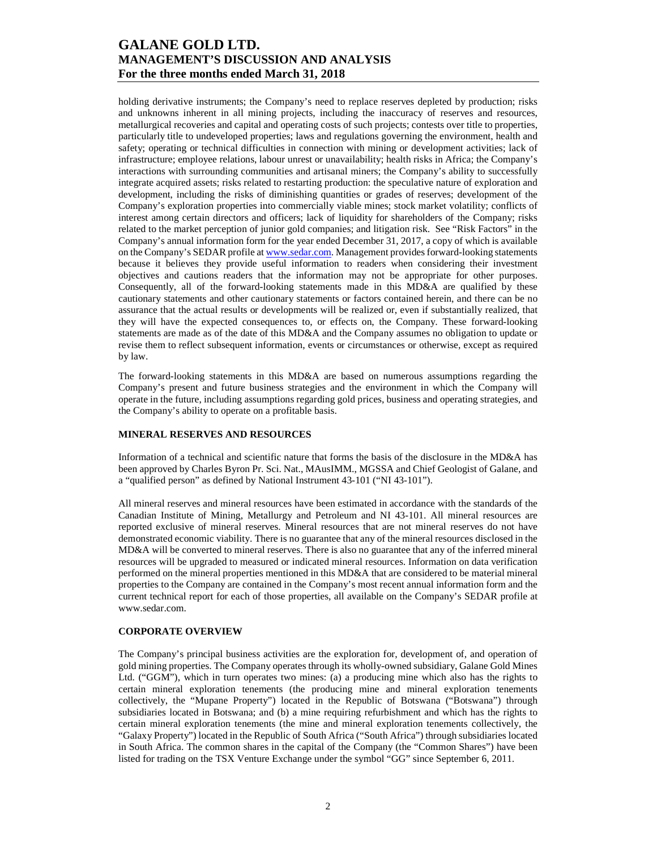holding derivative instruments; the Company's need to replace reserves depleted by production; risks and unknowns inherent in all mining projects, including the inaccuracy of reserves and resources, metallurgical recoveries and capital and operating costs of such projects; contests over title to properties, particularly title to undeveloped properties; laws and regulations governing the environment, health and safety; operating or technical difficulties in connection with mining or development activities; lack of infrastructure; employee relations, labour unrest or unavailability; health risks in Africa; the Company's interactions with surrounding communities and artisanal miners; the Company's ability to successfully integrate acquired assets; risks related to restarting production: the speculative nature of exploration and development, including the risks of diminishing quantities or grades of reserves; development of the Company's exploration properties into commercially viable mines; stock market volatility; conflicts of interest among certain directors and officers; lack of liquidity for shareholders of the Company; risks related to the market perception of junior gold companies; and litigation risk. See "Risk Factors" in the Company's annual information form for the year ended December 31, 2017, a copy of which is available on the Company's SEDAR profile at www.sedar.com. Management provides forward-looking statements because it believes they provide useful information to readers when considering their investment objectives and cautions readers that the information may not be appropriate for other purposes. Consequently, all of the forward-looking statements made in this MD&A are qualified by these cautionary statements and other cautionary statements or factors contained herein, and there can be no assurance that the actual results or developments will be realized or, even if substantially realized, that they will have the expected consequences to, or effects on, the Company. These forward-looking statements are made as of the date of this MD&A and the Company assumes no obligation to update or revise them to reflect subsequent information, events or circumstances or otherwise, except as required by law.

The forward-looking statements in this MD&A are based on numerous assumptions regarding the Company's present and future business strategies and the environment in which the Company will operate in the future, including assumptions regarding gold prices, business and operating strategies, and the Company's ability to operate on a profitable basis.

#### **MINERAL RESERVES AND RESOURCES**

Information of a technical and scientific nature that forms the basis of the disclosure in the MD&A has been approved by Charles Byron Pr. Sci. Nat., MAusIMM., MGSSA and Chief Geologist of Galane, and a "qualified person" as defined by National Instrument 43-101 ("NI 43-101").

All mineral reserves and mineral resources have been estimated in accordance with the standards of the Canadian Institute of Mining, Metallurgy and Petroleum and NI 43-101. All mineral resources are reported exclusive of mineral reserves. Mineral resources that are not mineral reserves do not have demonstrated economic viability. There is no guarantee that any of the mineral resources disclosed in the MD&A will be converted to mineral reserves. There is also no guarantee that any of the inferred mineral resources will be upgraded to measured or indicated mineral resources. Information on data verification performed on the mineral properties mentioned in this MD&A that are considered to be material mineral properties to the Company are contained in the Company's most recent annual information form and the current technical report for each of those properties, all available on the Company's SEDAR profile at www.sedar.com.

### **CORPORATE OVERVIEW**

The Company's principal business activities are the exploration for, development of, and operation of gold mining properties. The Company operates through its wholly-owned subsidiary, Galane Gold Mines Ltd. ("GGM"), which in turn operates two mines: (a) a producing mine which also has the rights to certain mineral exploration tenements (the producing mine and mineral exploration tenements collectively, the "Mupane Property") located in the Republic of Botswana ("Botswana") through subsidiaries located in Botswana; and (b) a mine requiring refurbishment and which has the rights to certain mineral exploration tenements (the mine and mineral exploration tenements collectively, the "Galaxy Property") located in the Republic of South Africa ("South Africa") through subsidiaries located in South Africa. The common shares in the capital of the Company (the "Common Shares") have been listed for trading on the TSX Venture Exchange under the symbol "GG" since September 6, 2011.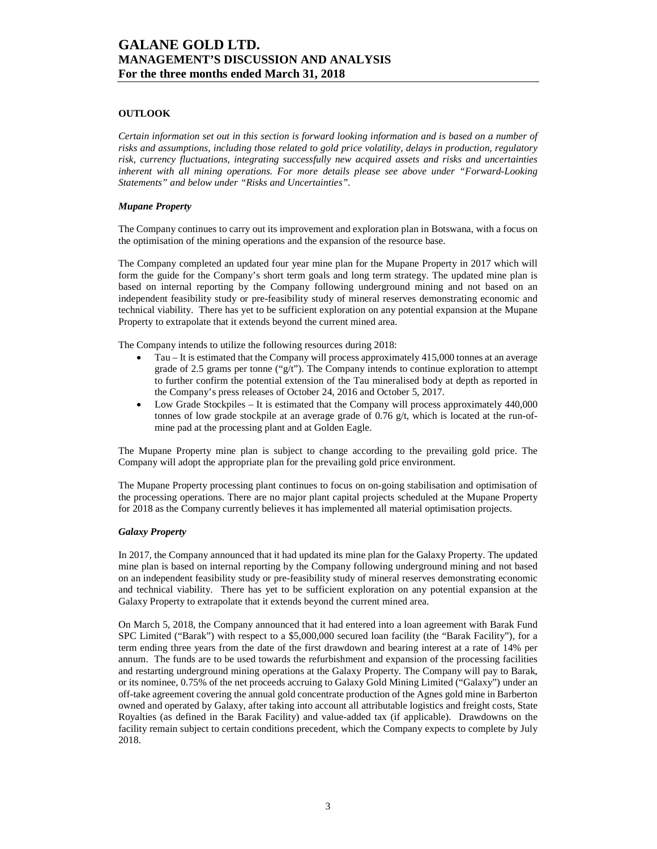### **OUTLOOK**

*Certain information set out in this section is forward looking information and is based on a number of risks and assumptions, including those related to gold price volatility, delays in production, regulatory risk, currency fluctuations, integrating successfully new acquired assets and risks and uncertainties inherent with all mining operations. For more details please see above under "Forward-Looking Statements" and below under "Risks and Uncertainties".* 

#### *Mupane Property*

The Company continues to carry out its improvement and exploration plan in Botswana, with a focus on the optimisation of the mining operations and the expansion of the resource base.

The Company completed an updated four year mine plan for the Mupane Property in 2017 which will form the guide for the Company's short term goals and long term strategy. The updated mine plan is based on internal reporting by the Company following underground mining and not based on an independent feasibility study or pre-feasibility study of mineral reserves demonstrating economic and technical viability. There has yet to be sufficient exploration on any potential expansion at the Mupane Property to extrapolate that it extends beyond the current mined area.

The Company intends to utilize the following resources during 2018:

- Tau It is estimated that the Company will process approximately 415,000 tonnes at an average grade of 2.5 grams per tonne (" $g/t$ "). The Company intends to continue exploration to attempt to further confirm the potential extension of the Tau mineralised body at depth as reported in the Company's press releases of October 24, 2016 and October 5, 2017.
- Low Grade Stockpiles It is estimated that the Company will process approximately 440,000 tonnes of low grade stockpile at an average grade of  $0.76$  g/t, which is located at the run-ofmine pad at the processing plant and at Golden Eagle.

The Mupane Property mine plan is subject to change according to the prevailing gold price. The Company will adopt the appropriate plan for the prevailing gold price environment.

The Mupane Property processing plant continues to focus on on-going stabilisation and optimisation of the processing operations. There are no major plant capital projects scheduled at the Mupane Property for 2018 as the Company currently believes it has implemented all material optimisation projects.

#### *Galaxy Property*

In 2017, the Company announced that it had updated its mine plan for the Galaxy Property. The updated mine plan is based on internal reporting by the Company following underground mining and not based on an independent feasibility study or pre-feasibility study of mineral reserves demonstrating economic and technical viability. There has yet to be sufficient exploration on any potential expansion at the Galaxy Property to extrapolate that it extends beyond the current mined area.

On March 5, 2018, the Company announced that it had entered into a loan agreement with Barak Fund SPC Limited ("Barak") with respect to a \$5,000,000 secured loan facility (the "Barak Facility"), for a term ending three years from the date of the first drawdown and bearing interest at a rate of 14% per annum. The funds are to be used towards the refurbishment and expansion of the processing facilities and restarting underground mining operations at the Galaxy Property. The Company will pay to Barak, or its nominee, 0.75% of the net proceeds accruing to Galaxy Gold Mining Limited ("Galaxy") under an off-take agreement covering the annual gold concentrate production of the Agnes gold mine in Barberton owned and operated by Galaxy, after taking into account all attributable logistics and freight costs, State Royalties (as defined in the Barak Facility) and value-added tax (if applicable). Drawdowns on the facility remain subject to certain conditions precedent, which the Company expects to complete by July 2018.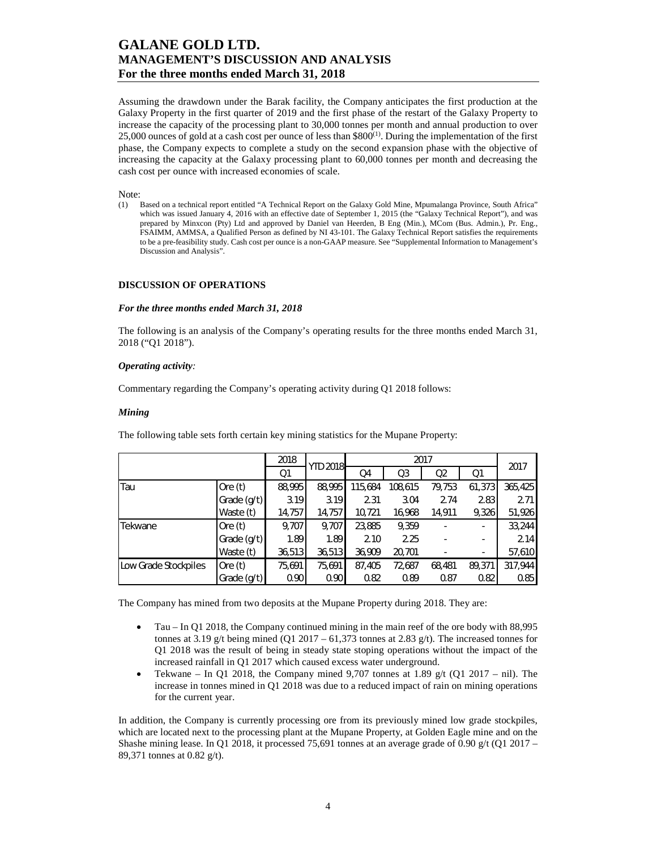Assuming the drawdown under the Barak facility, the Company anticipates the first production at the Galaxy Property in the first quarter of 2019 and the first phase of the restart of the Galaxy Property to increase the capacity of the processing plant to 30,000 tonnes per month and annual production to over 25,000 ounces of gold at a cash cost per ounce of less than  $$800^{(1)}$ . During the implementation of the first phase, the Company expects to complete a study on the second expansion phase with the objective of increasing the capacity at the Galaxy processing plant to 60,000 tonnes per month and decreasing the cash cost per ounce with increased economies of scale.

Note:

(1) Based on a technical report entitled "A Technical Report on the Galaxy Gold Mine, Mpumalanga Province, South Africa" which was issued January 4, 2016 with an effective date of September 1, 2015 (the "Galaxy Technical Report"), and was prepared by Minxcon (Pty) Ltd and approved by Daniel van Heerden, B Eng (Min.), MCom (Bus. Admin.), Pr. Eng., FSAIMM, AMMSA, a Qualified Person as defined by NI 43-101. The Galaxy Technical Report satisfies the requirements to be a pre-feasibility study. Cash cost per ounce is a non-GAAP measure. See "Supplemental Information to Management's Discussion and Analysis".

#### **DISCUSSION OF OPERATIONS**

#### *For the three months ended March 31, 2018*

The following is an analysis of the Company's operating results for the three months ended March 31, 2018 ("Q1 2018").

#### *Operating activity:*

Commentary regarding the Company's operating activity during Q1 2018 follows:

#### *Mining*

The following table sets forth certain key mining statistics for the Mupane Property:

|                      |             | 2018   | <b>YTD 2018</b> |         | 2017    |        |                |         |
|----------------------|-------------|--------|-----------------|---------|---------|--------|----------------|---------|
|                      |             | Q1     |                 | Q4      | Q3      | Q2     | Q <sub>1</sub> |         |
| Tau                  | Ore $(t)$   | 88,995 | 88,995          | 115,684 | 108,615 | 79,753 | 61,373         | 365,425 |
|                      | Grade (g/t) | 3.19   | 3.19            | 2.31    | 3.04    | 2.74   | 2.83           | 2.71    |
|                      | Waste (t)   | 14,757 | 14,757          | 10,721  | 16,968  | 14,911 | 9,326          | 51,926  |
| Tekwane              | Ore $(t)$   | 9,707  | 9,707           | 23,885  | 9,359   | ۰      | ٠              | 33,244  |
|                      | Grade (g/t) | 1.89   | 1.89            | 2.10    | 2.25    |        | ۰              | 2.14    |
|                      | Waste (t)   | 36,513 | 36,513          | 36,909  | 20,701  |        | ٠              | 57,610  |
| Low Grade Stockpiles | Ore $(t)$   | 75,691 | 75,691          | 87,405  | 72,687  | 68,481 | 89,371         | 317,944 |
|                      | Grade (g/t) | 0.90   | 0.90            | 0.82    | 0.89    | 0.87   | 0.82           | 0.85    |

The Company has mined from two deposits at the Mupane Property during 2018. They are:

- Tau In Q1 2018, the Company continued mining in the main reef of the ore body with 88,995 tonnes at 3.19 g/t being mined (Q1 2017 – 61,373 tonnes at 2.83 g/t). The increased tonnes for Q1 2018 was the result of being in steady state stoping operations without the impact of the increased rainfall in Q1 2017 which caused excess water underground.
- Tekwane In Q1 2018, the Company mined 9,707 tonnes at 1.89  $g/t$  (Q1 2017 nil). The increase in tonnes mined in Q1 2018 was due to a reduced impact of rain on mining operations for the current year.

In addition, the Company is currently processing ore from its previously mined low grade stockpiles, which are located next to the processing plant at the Mupane Property, at Golden Eagle mine and on the Shashe mining lease. In Q1 2018, it processed 75,691 tonnes at an average grade of 0.90 g/t (Q1 2017 – 89,371 tonnes at 0.82 g/t).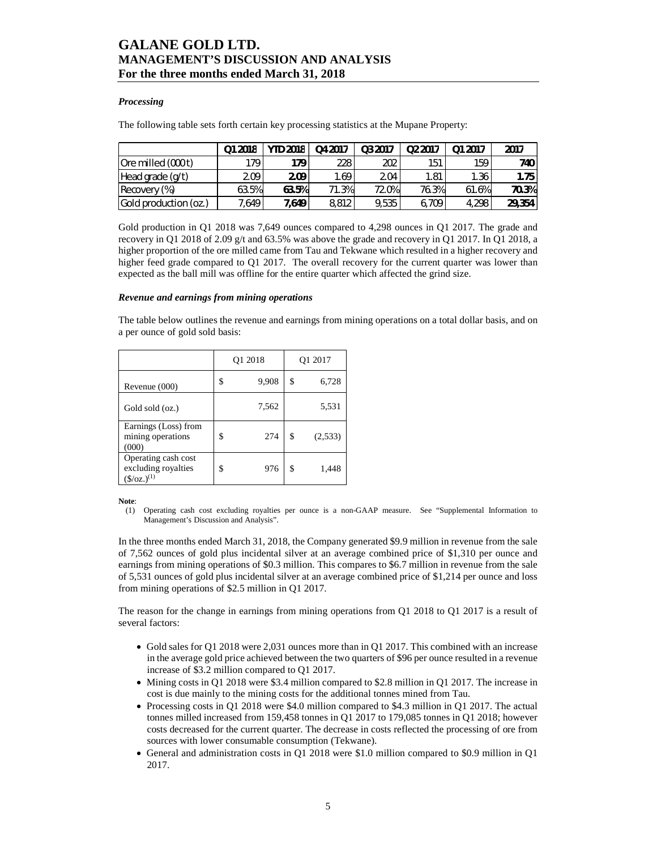#### *Processing*

The following table sets forth certain key processing statistics at the Mupane Property:

|                       | Q1 2018 | <b>YTD 2018</b> | Q4 2017 | Q3 2017 | Q <sub>2</sub> 2017 | Q1 2017 | 2017   |
|-----------------------|---------|-----------------|---------|---------|---------------------|---------|--------|
| Ore milled (000 t)    | 179     | 179             | 228     | 202     | 151                 | 159     | 740 I  |
| Head grade (g/t)      | 2.09    | 2.09            | 1.69    | 2.04    | 1.81                | 1.36    | 1.75   |
| Recovery (%)          | 63.5%   | 63.5%           | 71.3%   | 72.0%   | 76.3%               | 61.6%   | 70.3%  |
| Gold production (oz.) | 7,649 . | 7,649           | 8,812   | 9,535   | 6,709               | 4,298   | 29,354 |

Gold production in Q1 2018 was 7,649 ounces compared to 4,298 ounces in Q1 2017. The grade and recovery in Q1 2018 of 2.09 g/t and 63.5% was above the grade and recovery in Q1 2017. In Q1 2018, a higher proportion of the ore milled came from Tau and Tekwane which resulted in a higher recovery and higher feed grade compared to Q1 2017. The overall recovery for the current quarter was lower than expected as the ball mill was offline for the entire quarter which affected the grind size.

#### *Revenue and earnings from mining operations*

The table below outlines the revenue and earnings from mining operations on a total dollar basis, and on a per ounce of gold sold basis:

|                                                                        | Q1 2018 |       |    | O1 2017 |
|------------------------------------------------------------------------|---------|-------|----|---------|
| Revenue (000)                                                          | S       | 9,908 | \$ | 6,728   |
| Gold sold (oz.)                                                        |         | 7,562 |    | 5,531   |
| Earnings (Loss) from<br>mining operations<br>(000)                     | \$      | 274   | \$ | (2,533) |
| Operating cash cost<br>excluding royalties<br>$(\frac{\xi}{oz})^{(1)}$ | \$      | 976   | \$ | 1,448   |

**Note**:

(1) Operating cash cost excluding royalties per ounce is a non-GAAP measure. See "Supplemental Information to Management's Discussion and Analysis".

In the three months ended March 31, 2018, the Company generated \$9.9 million in revenue from the sale of 7,562 ounces of gold plus incidental silver at an average combined price of \$1,310 per ounce and earnings from mining operations of \$0.3 million. This compares to \$6.7 million in revenue from the sale of 5,531 ounces of gold plus incidental silver at an average combined price of \$1,214 per ounce and loss from mining operations of \$2.5 million in Q1 2017.

The reason for the change in earnings from mining operations from Q1 2018 to Q1 2017 is a result of several factors:

- Gold sales for Q1 2018 were 2,031 ounces more than in Q1 2017. This combined with an increase in the average gold price achieved between the two quarters of \$96 per ounce resulted in a revenue increase of \$3.2 million compared to Q1 2017.
- Mining costs in Q1 2018 were \$3.4 million compared to \$2.8 million in Q1 2017. The increase in cost is due mainly to the mining costs for the additional tonnes mined from Tau.
- Processing costs in Q1 2018 were \$4.0 million compared to \$4.3 million in Q1 2017. The actual tonnes milled increased from 159,458 tonnes in Q1 2017 to 179,085 tonnes in Q1 2018; however costs decreased for the current quarter. The decrease in costs reflected the processing of ore from sources with lower consumable consumption (Tekwane).
- General and administration costs in Q1 2018 were \$1.0 million compared to \$0.9 million in Q1 2017.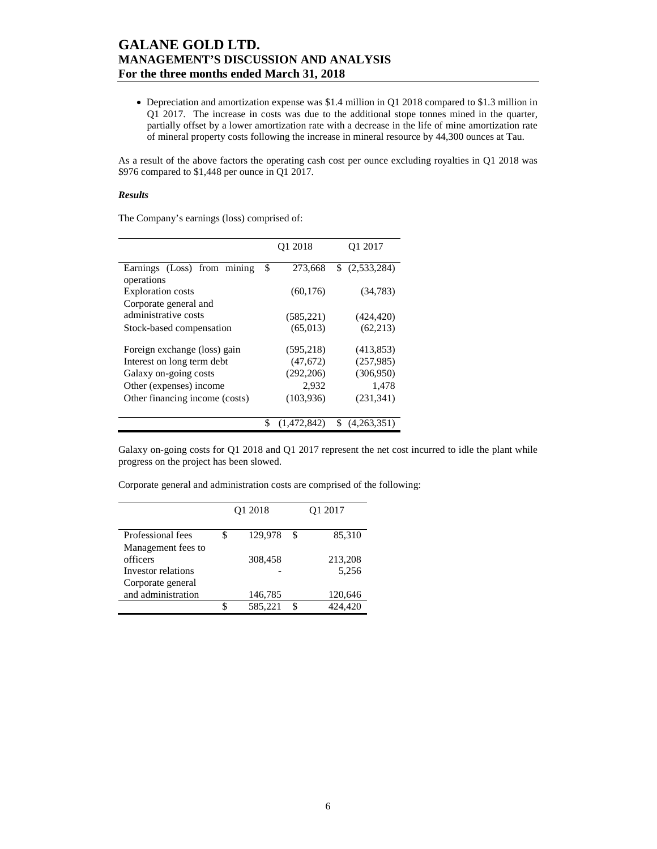• Depreciation and amortization expense was \$1.4 million in Q1 2018 compared to \$1.3 million in Q1 2017. The increase in costs was due to the additional stope tonnes mined in the quarter, partially offset by a lower amortization rate with a decrease in the life of mine amortization rate of mineral property costs following the increase in mineral resource by 44,300 ounces at Tau.

As a result of the above factors the operating cash cost per ounce excluding royalties in Q1 2018 was \$976 compared to \$1,448 per ounce in Q1 2017.

#### *Results*

The Company's earnings (loss) comprised of:

|                                           | Q1 2018       | Q1 2017           |
|-------------------------------------------|---------------|-------------------|
| Earnings (Loss) from mining<br>operations | \$<br>273,668 | (2,533,284)<br>S. |
| <b>Exploration</b> costs                  | (60, 176)     | (34, 783)         |
| Corporate general and                     |               |                   |
| administrative costs                      | (585, 221)    | (424, 420)        |
| Stock-based compensation                  | (65.013)      | (62, 213)         |
| Foreign exchange (loss) gain              | (595, 218)    | (413, 853)        |
| Interest on long term debt                | (47, 672)     | (257,985)         |
| Galaxy on-going costs                     | (292, 206)    | (306,950)         |
| Other (expenses) income                   | 2,932         | 1,478             |
| Other financing income (costs)            | (103, 936)    | (231, 341)        |
|                                           |               |                   |
|                                           | (1,472,842)   | \$<br>(4,263,351) |

Galaxy on-going costs for Q1 2018 and Q1 2017 represent the net cost incurred to idle the plant while progress on the project has been slowed.

|  | Corporate general and administration costs are comprised of the following: |  |  |
|--|----------------------------------------------------------------------------|--|--|
|  |                                                                            |  |  |

|                    |   | Q1 2018 | Q1 2017       |
|--------------------|---|---------|---------------|
|                    |   |         |               |
|                    |   |         |               |
| Professional fees  | S | 129,978 | \$<br>85,310  |
| Management fees to |   |         |               |
| officers           |   | 308.458 | 213,208       |
| Investor relations |   |         | 5,256         |
| Corporate general  |   |         |               |
| and administration |   | 146,785 | 120,646       |
|                    | ፍ | 585,221 | \$<br>424,420 |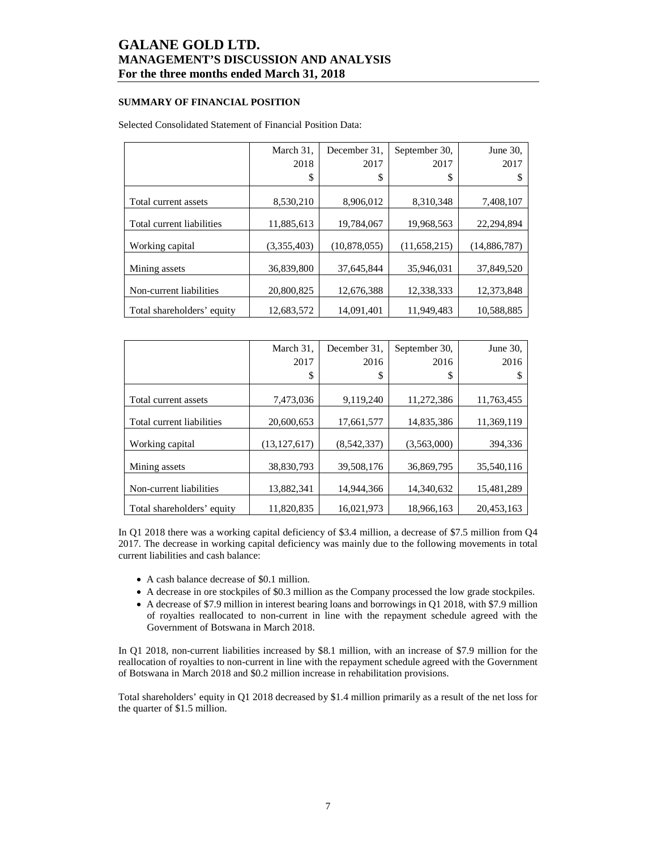### **SUMMARY OF FINANCIAL POSITION**

### Selected Consolidated Statement of Financial Position Data:

|                            | March 31,   | December 31.   | September 30, | June 30,     |
|----------------------------|-------------|----------------|---------------|--------------|
|                            | 2018        | 2017           | 2017          | 2017         |
|                            | \$          | \$             | \$            |              |
|                            |             |                |               |              |
| Total current assets       | 8,530,210   | 8,906,012      | 8,310,348     | 7,408,107    |
| Total current liabilities  | 11,885,613  | 19,784,067     | 19,968,563    | 22,294,894   |
| Working capital            | (3,355,403) | (10, 878, 055) | (11,658,215)  | (14,886,787) |
| Mining assets              | 36,839,800  | 37,645,844     | 35,946,031    | 37,849,520   |
| Non-current liabilities    | 20,800,825  | 12,676,388     | 12,338,333    | 12,373,848   |
| Total shareholders' equity | 12,683,572  | 14,091,401     | 11,949,483    | 10,588,885   |

|                            | March 31,      | December 31. | September 30, | June 30,   |
|----------------------------|----------------|--------------|---------------|------------|
|                            | 2017           | 2016         | 2016          | 2016       |
|                            | \$             | \$           | \$            | S          |
|                            |                |              |               |            |
| Total current assets       | 7,473,036      | 9,119,240    | 11.272.386    | 11,763,455 |
| Total current liabilities  | 20,600,653     | 17,661,577   | 14,835,386    | 11,369,119 |
|                            |                |              |               |            |
| Working capital            | (13, 127, 617) | (8,542,337)  | (3,563,000)   | 394,336    |
| Mining assets              | 38,830,793     | 39,508,176   | 36,869,795    | 35,540,116 |
|                            |                |              |               |            |
| Non-current liabilities    | 13,882,341     | 14,944,366   | 14,340,632    | 15,481,289 |
| Total shareholders' equity | 11.820.835     | 16.021.973   | 18.966.163    | 20,453,163 |

In Q1 2018 there was a working capital deficiency of \$3.4 million, a decrease of \$7.5 million from Q4 2017. The decrease in working capital deficiency was mainly due to the following movements in total current liabilities and cash balance:

- A cash balance decrease of \$0.1 million.
- A decrease in ore stockpiles of \$0.3 million as the Company processed the low grade stockpiles.
- A decrease of \$7.9 million in interest bearing loans and borrowings in Q1 2018, with \$7.9 million of royalties reallocated to non-current in line with the repayment schedule agreed with the Government of Botswana in March 2018.

In Q1 2018, non-current liabilities increased by \$8.1 million, with an increase of \$7.9 million for the reallocation of royalties to non-current in line with the repayment schedule agreed with the Government of Botswana in March 2018 and \$0.2 million increase in rehabilitation provisions.

Total shareholders' equity in Q1 2018 decreased by \$1.4 million primarily as a result of the net loss for the quarter of \$1.5 million.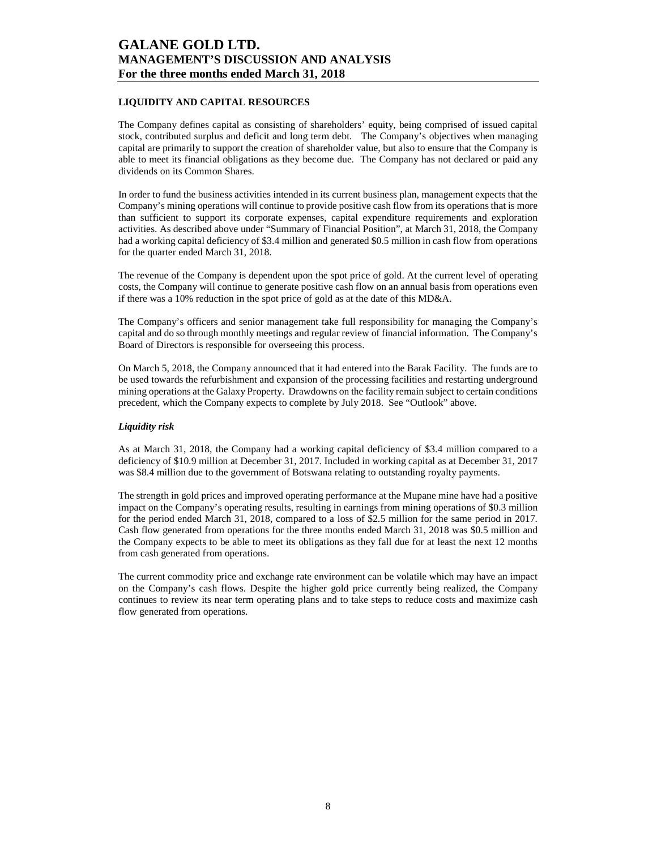### **LIQUIDITY AND CAPITAL RESOURCES**

The Company defines capital as consisting of shareholders' equity, being comprised of issued capital stock, contributed surplus and deficit and long term debt. The Company's objectives when managing capital are primarily to support the creation of shareholder value, but also to ensure that the Company is able to meet its financial obligations as they become due. The Company has not declared or paid any dividends on its Common Shares.

In order to fund the business activities intended in its current business plan, management expects that the Company's mining operations will continue to provide positive cash flow from its operations that is more than sufficient to support its corporate expenses, capital expenditure requirements and exploration activities. As described above under "Summary of Financial Position", at March 31, 2018, the Company had a working capital deficiency of \$3.4 million and generated \$0.5 million in cash flow from operations for the quarter ended March 31, 2018.

The revenue of the Company is dependent upon the spot price of gold. At the current level of operating costs, the Company will continue to generate positive cash flow on an annual basis from operations even if there was a 10% reduction in the spot price of gold as at the date of this MD&A.

The Company's officers and senior management take full responsibility for managing the Company's capital and do so through monthly meetings and regular review of financial information. The Company's Board of Directors is responsible for overseeing this process.

On March 5, 2018, the Company announced that it had entered into the Barak Facility. The funds are to be used towards the refurbishment and expansion of the processing facilities and restarting underground mining operations at the Galaxy Property. Drawdowns on the facility remain subject to certain conditions precedent, which the Company expects to complete by July 2018. See "Outlook" above.

#### *Liquidity risk*

As at March 31, 2018, the Company had a working capital deficiency of \$3.4 million compared to a deficiency of \$10.9 million at December 31, 2017. Included in working capital as at December 31, 2017 was \$8.4 million due to the government of Botswana relating to outstanding royalty payments.

The strength in gold prices and improved operating performance at the Mupane mine have had a positive impact on the Company's operating results, resulting in earnings from mining operations of \$0.3 million for the period ended March 31, 2018, compared to a loss of \$2.5 million for the same period in 2017. Cash flow generated from operations for the three months ended March 31, 2018 was \$0.5 million and the Company expects to be able to meet its obligations as they fall due for at least the next 12 months from cash generated from operations.

The current commodity price and exchange rate environment can be volatile which may have an impact on the Company's cash flows. Despite the higher gold price currently being realized, the Company continues to review its near term operating plans and to take steps to reduce costs and maximize cash flow generated from operations.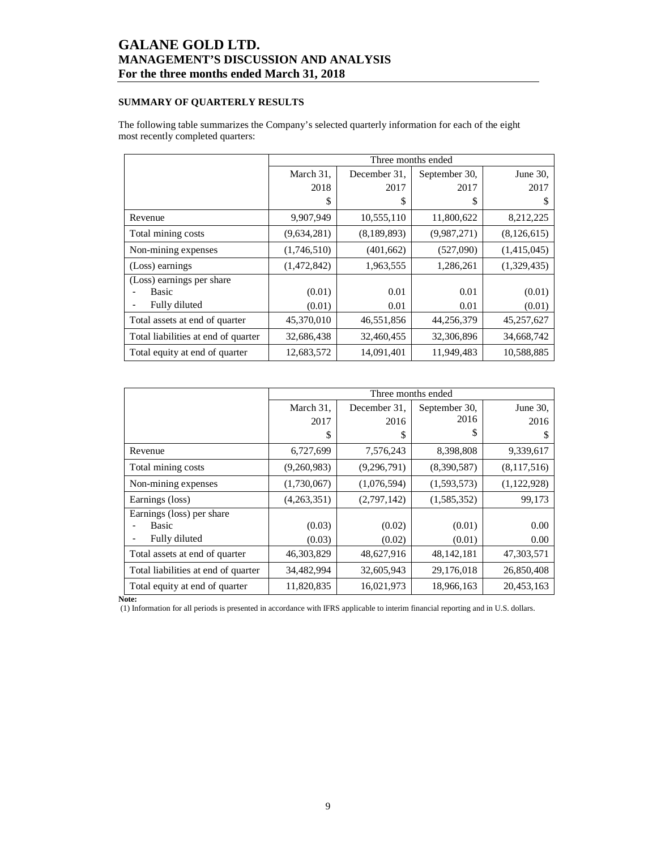### **SUMMARY OF QUARTERLY RESULTS**

The following table summarizes the Company's selected quarterly information for each of the eight most recently completed quarters:

|                                     |             | Three months ended |               |               |  |  |  |  |
|-------------------------------------|-------------|--------------------|---------------|---------------|--|--|--|--|
|                                     | March 31,   | December 31.       | September 30, | June 30.      |  |  |  |  |
|                                     | 2018        | 2017               | 2017          | 2017          |  |  |  |  |
|                                     | \$          | \$                 | S             | S             |  |  |  |  |
| Revenue                             | 9,907,949   | 10,555,110         | 11,800,622    | 8,212,225     |  |  |  |  |
| Total mining costs                  | (9,634,281) | (8, 189, 893)      | (9,987,271)   | (8, 126, 615) |  |  |  |  |
| Non-mining expenses                 | (1,746,510) | (401, 662)         | (527,090)     | (1,415,045)   |  |  |  |  |
| (Loss) earnings                     | (1,472,842) | 1,963,555          | 1,286,261     | (1,329,435)   |  |  |  |  |
| (Loss) earnings per share           |             |                    |               |               |  |  |  |  |
| <b>Basic</b>                        | (0.01)      | 0.01               | 0.01          | (0.01)        |  |  |  |  |
| Fully diluted                       | (0.01)      | 0.01               | 0.01          | (0.01)        |  |  |  |  |
| Total assets at end of quarter      | 45,370,010  | 46,551,856         | 44,256,379    | 45,257,627    |  |  |  |  |
| Total liabilities at end of quarter | 32,686,438  | 32,460,455         | 32,306,896    | 34,668,742    |  |  |  |  |
| Total equity at end of quarter      | 12,683,572  | 14,091,401         | 11,949,483    | 10,588,885    |  |  |  |  |

|                                     |             | Three months ended |               |             |  |  |  |  |  |
|-------------------------------------|-------------|--------------------|---------------|-------------|--|--|--|--|--|
|                                     | March 31,   | December 31.       | September 30, | June 30,    |  |  |  |  |  |
|                                     | 2017        | 2016               | 2016          | 2016        |  |  |  |  |  |
|                                     | S           | \$                 | S             | S           |  |  |  |  |  |
| Revenue                             | 6,727,699   | 7,576,243          | 8,398,808     | 9,339,617   |  |  |  |  |  |
| Total mining costs                  | (9,260,983) | (9, 296, 791)      | (8,390,587)   | (8,117,516) |  |  |  |  |  |
| Non-mining expenses                 | (1,730,067) | (1,076,594)        | (1,593,573)   | (1,122,928) |  |  |  |  |  |
| Earnings (loss)                     | (4,263,351) | (2,797,142)        | (1,585,352)   | 99,173      |  |  |  |  |  |
| Earnings (loss) per share           |             |                    |               |             |  |  |  |  |  |
| Basic                               | (0.03)      | (0.02)             | (0.01)        | 0.00        |  |  |  |  |  |
| Fully diluted                       | (0.03)      | (0.02)             | (0.01)        | 0.00        |  |  |  |  |  |
| Total assets at end of quarter      | 46,303,829  | 48,627,916         | 48, 142, 181  | 47,303,571  |  |  |  |  |  |
| Total liabilities at end of quarter | 34,482,994  | 32,605,943         | 29,176,018    | 26,850,408  |  |  |  |  |  |
| Total equity at end of quarter      | 11,820,835  | 16,021,973         | 18,966,163    | 20,453,163  |  |  |  |  |  |

**Note:** 

(1) Information for all periods is presented in accordance with IFRS applicable to interim financial reporting and in U.S. dollars.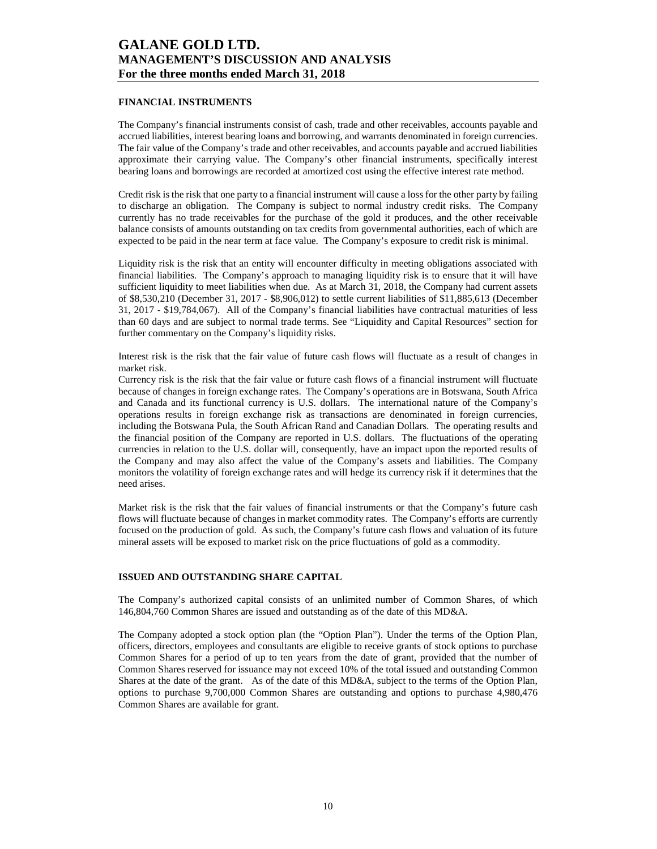#### **FINANCIAL INSTRUMENTS**

The Company's financial instruments consist of cash, trade and other receivables, accounts payable and accrued liabilities, interest bearing loans and borrowing, and warrants denominated in foreign currencies. The fair value of the Company's trade and other receivables, and accounts payable and accrued liabilities approximate their carrying value. The Company's other financial instruments, specifically interest bearing loans and borrowings are recorded at amortized cost using the effective interest rate method.

Credit risk is the risk that one party to a financial instrument will cause a loss for the other party by failing to discharge an obligation. The Company is subject to normal industry credit risks. The Company currently has no trade receivables for the purchase of the gold it produces, and the other receivable balance consists of amounts outstanding on tax credits from governmental authorities, each of which are expected to be paid in the near term at face value. The Company's exposure to credit risk is minimal.

Liquidity risk is the risk that an entity will encounter difficulty in meeting obligations associated with financial liabilities. The Company's approach to managing liquidity risk is to ensure that it will have sufficient liquidity to meet liabilities when due. As at March 31, 2018, the Company had current assets of \$8,530,210 (December 31, 2017 - \$8,906,012) to settle current liabilities of \$11,885,613 (December 31, 2017 - \$19,784,067). All of the Company's financial liabilities have contractual maturities of less than 60 days and are subject to normal trade terms. See "Liquidity and Capital Resources" section for further commentary on the Company's liquidity risks.

Interest risk is the risk that the fair value of future cash flows will fluctuate as a result of changes in market risk.

Currency risk is the risk that the fair value or future cash flows of a financial instrument will fluctuate because of changes in foreign exchange rates. The Company's operations are in Botswana, South Africa and Canada and its functional currency is U.S. dollars. The international nature of the Company's operations results in foreign exchange risk as transactions are denominated in foreign currencies, including the Botswana Pula, the South African Rand and Canadian Dollars. The operating results and the financial position of the Company are reported in U.S. dollars. The fluctuations of the operating currencies in relation to the U.S. dollar will, consequently, have an impact upon the reported results of the Company and may also affect the value of the Company's assets and liabilities. The Company monitors the volatility of foreign exchange rates and will hedge its currency risk if it determines that the need arises.

Market risk is the risk that the fair values of financial instruments or that the Company's future cash flows will fluctuate because of changes in market commodity rates. The Company's efforts are currently focused on the production of gold. As such, the Company's future cash flows and valuation of its future mineral assets will be exposed to market risk on the price fluctuations of gold as a commodity.

#### **ISSUED AND OUTSTANDING SHARE CAPITAL**

The Company's authorized capital consists of an unlimited number of Common Shares, of which 146,804,760 Common Shares are issued and outstanding as of the date of this MD&A.

The Company adopted a stock option plan (the "Option Plan"). Under the terms of the Option Plan, officers, directors, employees and consultants are eligible to receive grants of stock options to purchase Common Shares for a period of up to ten years from the date of grant, provided that the number of Common Shares reserved for issuance may not exceed 10% of the total issued and outstanding Common Shares at the date of the grant. As of the date of this MD&A, subject to the terms of the Option Plan, options to purchase 9,700,000 Common Shares are outstanding and options to purchase 4,980,476 Common Shares are available for grant.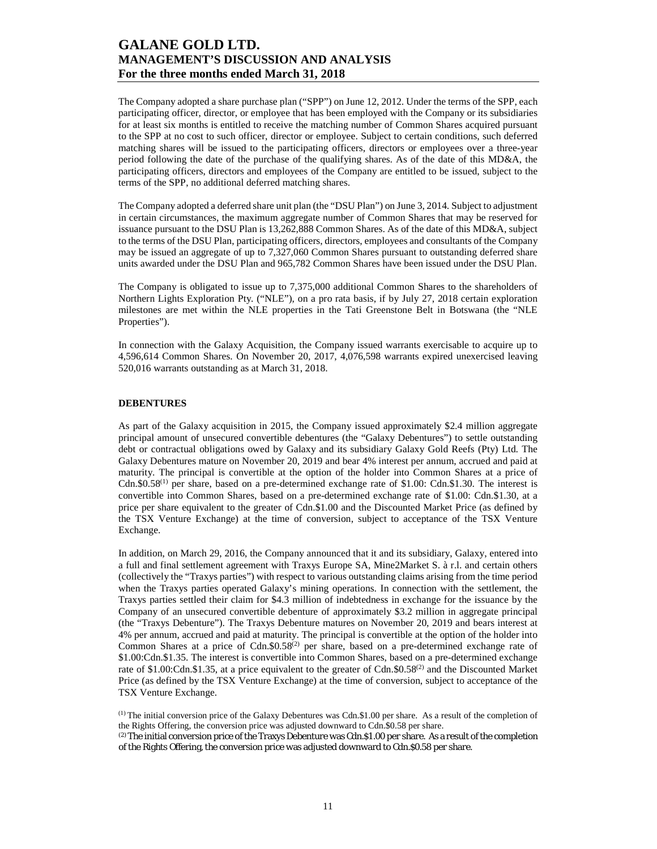The Company adopted a share purchase plan ("SPP") on June 12, 2012. Under the terms of the SPP, each participating officer, director, or employee that has been employed with the Company or its subsidiaries for at least six months is entitled to receive the matching number of Common Shares acquired pursuant to the SPP at no cost to such officer, director or employee. Subject to certain conditions, such deferred matching shares will be issued to the participating officers, directors or employees over a three-year period following the date of the purchase of the qualifying shares. As of the date of this MD&A, the participating officers, directors and employees of the Company are entitled to be issued, subject to the terms of the SPP, no additional deferred matching shares.

The Company adopted a deferred share unit plan (the "DSU Plan") on June 3, 2014. Subject to adjustment in certain circumstances, the maximum aggregate number of Common Shares that may be reserved for issuance pursuant to the DSU Plan is 13,262,888 Common Shares. As of the date of this MD&A, subject to the terms of the DSU Plan, participating officers, directors, employees and consultants of the Company may be issued an aggregate of up to 7,327,060 Common Shares pursuant to outstanding deferred share units awarded under the DSU Plan and 965,782 Common Shares have been issued under the DSU Plan.

The Company is obligated to issue up to 7,375,000 additional Common Shares to the shareholders of Northern Lights Exploration Pty. ("NLE"), on a pro rata basis, if by July 27, 2018 certain exploration milestones are met within the NLE properties in the Tati Greenstone Belt in Botswana (the "NLE Properties").

In connection with the Galaxy Acquisition, the Company issued warrants exercisable to acquire up to 4,596,614 Common Shares. On November 20, 2017, 4,076,598 warrants expired unexercised leaving 520,016 warrants outstanding as at March 31, 2018.

#### **DEBENTURES**

As part of the Galaxy acquisition in 2015, the Company issued approximately \$2.4 million aggregate principal amount of unsecured convertible debentures (the "Galaxy Debentures") to settle outstanding debt or contractual obligations owed by Galaxy and its subsidiary Galaxy Gold Reefs (Pty) Ltd. The Galaxy Debentures mature on November 20, 2019 and bear 4% interest per annum, accrued and paid at maturity. The principal is convertible at the option of the holder into Common Shares at a price of Cdn. $$0.58^{(1)}$$  per share, based on a pre-determined exchange rate of \$1.00: Cdn.\$1.30. The interest is convertible into Common Shares, based on a pre-determined exchange rate of \$1.00: Cdn.\$1.30, at a price per share equivalent to the greater of Cdn.\$1.00 and the Discounted Market Price (as defined by the TSX Venture Exchange) at the time of conversion, subject to acceptance of the TSX Venture Exchange.

In addition, on March 29, 2016, the Company announced that it and its subsidiary, Galaxy, entered into a full and final settlement agreement with Traxys Europe SA, Mine2Market S. à r.l. and certain others (collectively the "Traxys parties") with respect to various outstanding claims arising from the time period when the Traxys parties operated Galaxy's mining operations. In connection with the settlement, the Traxys parties settled their claim for \$4.3 million of indebtedness in exchange for the issuance by the Company of an unsecured convertible debenture of approximately \$3.2 million in aggregate principal (the "Traxys Debenture"). The Traxys Debenture matures on November 20, 2019 and bears interest at 4% per annum, accrued and paid at maturity. The principal is convertible at the option of the holder into Common Shares at a price of  $Cdn$ , \$0.58<sup>(2)</sup> per share, based on a pre-determined exchange rate of \$1.00:Cdn.\$1.35. The interest is convertible into Common Shares, based on a pre-determined exchange rate of \$1.00:Cdn.\$1.35, at a price equivalent to the greater of Cdn.\$0.58<sup>(2)</sup> and the Discounted Market Price (as defined by the TSX Venture Exchange) at the time of conversion, subject to acceptance of the TSX Venture Exchange.

(1) The initial conversion price of the Galaxy Debentures was Cdn.\$1.00 per share. As a result of the completion of the Rights Offering, the conversion price was adjusted downward to Cdn.\$0.58 per share.

(2) The initial conversion price of the Traxys Debenture was Cdn.\$1.00 per share. As a result of the completion of the Rights Offering, the conversion price was adjusted downward to Cdn.\$0.58 per share.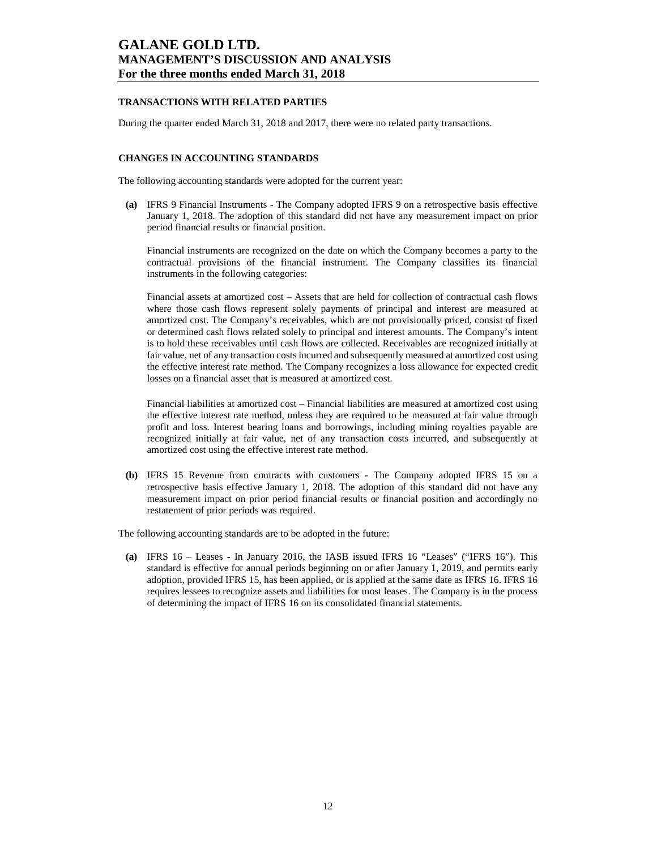### **TRANSACTIONS WITH RELATED PARTIES**

During the quarter ended March 31, 2018 and 2017, there were no related party transactions.

#### **CHANGES IN ACCOUNTING STANDARDS**

The following accounting standards were adopted for the current year:

**(a)** IFRS 9 Financial Instruments - The Company adopted IFRS 9 on a retrospective basis effective January 1, 2018. The adoption of this standard did not have any measurement impact on prior period financial results or financial position.

Financial instruments are recognized on the date on which the Company becomes a party to the contractual provisions of the financial instrument. The Company classifies its financial instruments in the following categories:

Financial assets at amortized cost – Assets that are held for collection of contractual cash flows where those cash flows represent solely payments of principal and interest are measured at amortized cost. The Company's receivables, which are not provisionally priced, consist of fixed or determined cash flows related solely to principal and interest amounts. The Company's intent is to hold these receivables until cash flows are collected. Receivables are recognized initially at fair value, net of any transaction costs incurred and subsequently measured at amortized cost using the effective interest rate method. The Company recognizes a loss allowance for expected credit losses on a financial asset that is measured at amortized cost.

Financial liabilities at amortized cost *–* Financial liabilities are measured at amortized cost using the effective interest rate method, unless they are required to be measured at fair value through profit and loss. Interest bearing loans and borrowings, including mining royalties payable are recognized initially at fair value, net of any transaction costs incurred, and subsequently at amortized cost using the effective interest rate method.

**(b)** IFRS 15 Revenue from contracts with customers - The Company adopted IFRS 15 on a retrospective basis effective January 1, 2018. The adoption of this standard did not have any measurement impact on prior period financial results or financial position and accordingly no restatement of prior periods was required.

The following accounting standards are to be adopted in the future:

**(a)** IFRS 16 – Leases **-** In January 2016, the IASB issued IFRS 16 "Leases" ("IFRS 16"). This standard is effective for annual periods beginning on or after January 1, 2019, and permits early adoption, provided IFRS 15, has been applied, or is applied at the same date as IFRS 16. IFRS 16 requires lessees to recognize assets and liabilities for most leases. The Company is in the process of determining the impact of IFRS 16 on its consolidated financial statements.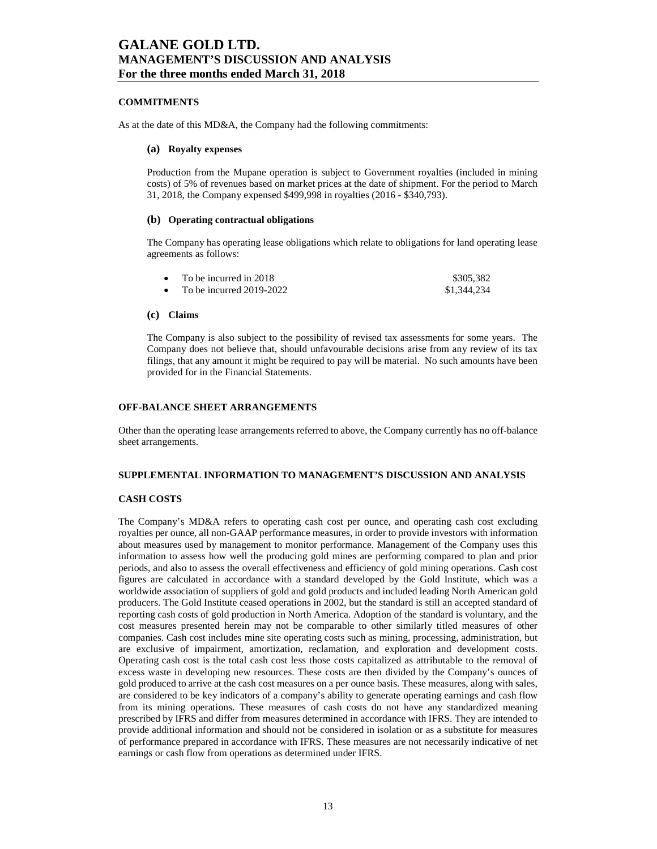#### **COMMITMENTS**

As at the date of this MD&A, the Company had the following commitments:

#### **(a) Royalty expenses**

Production from the Mupane operation is subject to Government royalties (included in mining costs) of 5% of revenues based on market prices at the date of shipment. For the period to March 31, 2018, the Company expensed \$499,998 in royalties (2016 - \$340,793).

#### **(b) Operating contractual obligations**

The Company has operating lease obligations which relate to obligations for land operating lease agreements as follows:

| To be incurred in 2018     | \$305,382   |
|----------------------------|-------------|
| To be incurred $2019-2022$ | \$1,344,234 |

#### **(c) Claims**

The Company is also subject to the possibility of revised tax assessments for some years. The Company does not believe that, should unfavourable decisions arise from any review of its tax filings, that any amount it might be required to pay will be material. No such amounts have been provided for in the Financial Statements.

#### **OFF-BALANCE SHEET ARRANGEMENTS**

Other than the operating lease arrangements referred to above, the Company currently has no off-balance sheet arrangements.

#### **SUPPLEMENTAL INFORMATION TO MANAGEMENT'S DISCUSSION AND ANALYSIS**

### **CASH COSTS**

The Company's MD&A refers to operating cash cost per ounce, and operating cash cost excluding royalties per ounce, all non-GAAP performance measures, in order to provide investors with information about measures used by management to monitor performance. Management of the Company uses this information to assess how well the producing gold mines are performing compared to plan and prior periods, and also to assess the overall effectiveness and efficiency of gold mining operations. Cash cost figures are calculated in accordance with a standard developed by the Gold Institute, which was a worldwide association of suppliers of gold and gold products and included leading North American gold producers. The Gold Institute ceased operations in 2002, but the standard is still an accepted standard of reporting cash costs of gold production in North America. Adoption of the standard is voluntary, and the cost measures presented herein may not be comparable to other similarly titled measures of other companies. Cash cost includes mine site operating costs such as mining, processing, administration, but are exclusive of impairment, amortization, reclamation, and exploration and development costs. Operating cash cost is the total cash cost less those costs capitalized as attributable to the removal of excess waste in developing new resources. These costs are then divided by the Company's ounces of gold produced to arrive at the cash cost measures on a per ounce basis. These measures, along with sales, are considered to be key indicators of a company's ability to generate operating earnings and cash flow from its mining operations. These measures of cash costs do not have any standardized meaning prescribed by IFRS and differ from measures determined in accordance with IFRS. They are intended to provide additional information and should not be considered in isolation or as a substitute for measures of performance prepared in accordance with IFRS. These measures are not necessarily indicative of net earnings or cash flow from operations as determined under IFRS.